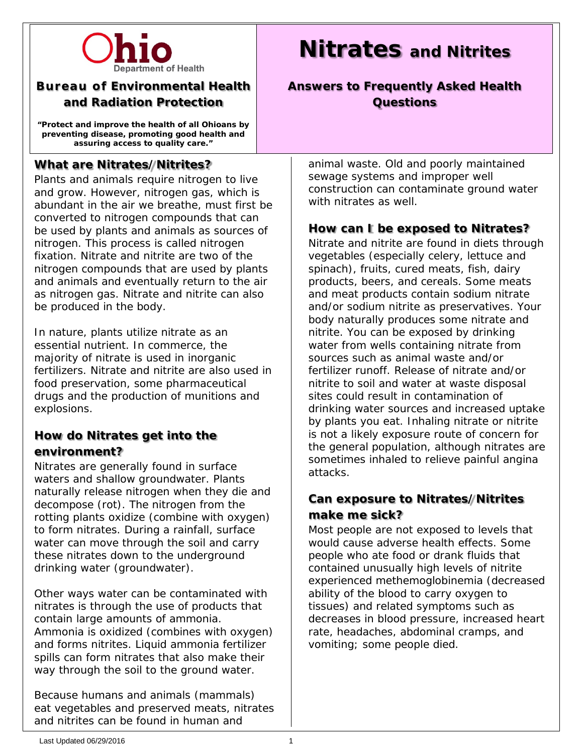

## **Bureau of Environmental Health and Radiation Protection**

**"Protect and improve the health of all Ohioans by preventing disease, promoting good health and assuring access to quality care."**

## **What are Nitrates/Nitrites?**

Plants and animals require nitrogen to live and grow. However, nitrogen gas, which is abundant in the air we breathe, must first be converted to nitrogen compounds that can be used by plants and animals as sources of nitrogen. This process is called nitrogen fixation. Nitrate and nitrite are two of the nitrogen compounds that are used by plants and animals and eventually return to the air as nitrogen gas. Nitrate and nitrite can also be produced in the body.

In nature, plants utilize nitrate as an essential nutrient. In commerce, the majority of nitrate is used in inorganic fertilizers. Nitrate and nitrite are also used in food preservation, some pharmaceutical drugs and the production of munitions and explosions.

## **How do Nitrates get into the environment?**

Nitrates are generally found in surface waters and shallow groundwater. Plants naturally release nitrogen when they die and decompose (rot). The nitrogen from the rotting plants oxidize (combine with oxygen) to form nitrates. During a rainfall, surface water can move through the soil and carry these nitrates down to the underground drinking water (groundwater).

Other ways water can be contaminated with nitrates is through the use of products that contain large amounts of ammonia. Ammonia is oxidized (combines with oxygen) and forms nitrites. Liquid ammonia fertilizer spills can form nitrates that also make their way through the soil to the ground water.

Because humans and animals (mammals) eat vegetables and preserved meats, nitrates and nitrites can be found in human and

# **Nitrates and Nitrites**

# **Answers to Frequently Asked Health Questions**

animal waste. Old and poorly maintained sewage systems and improper well construction can contaminate ground water with nitrates as well.

#### **How can I be exposed to Nitrates?**

Nitrate and nitrite are found in diets through vegetables (especially celery, lettuce and spinach), fruits, cured meats, fish, dairy products, beers, and cereals. Some meats and meat products contain sodium nitrate and/or sodium nitrite as preservatives. Your body naturally produces some nitrate and nitrite. You can be exposed by drinking water from wells containing nitrate from sources such as animal waste and/or fertilizer runoff. Release of nitrate and/or nitrite to soil and water at waste disposal sites could result in contamination of drinking water sources and increased uptake by plants you eat. Inhaling nitrate or nitrite is not a likely exposure route of concern for the general population, although nitrates are sometimes inhaled to relieve painful angina attacks.

# **Can exposure to Nitrates/Nitrites make me sick?**

Most people are not exposed to levels that would cause adverse health effects. Some people who ate food or drank fluids that contained unusually high levels of nitrite experienced methemoglobinemia (decreased ability of the blood to carry oxygen to tissues) and related symptoms such as decreases in blood pressure, increased heart rate, headaches, abdominal cramps, and vomiting; some people died.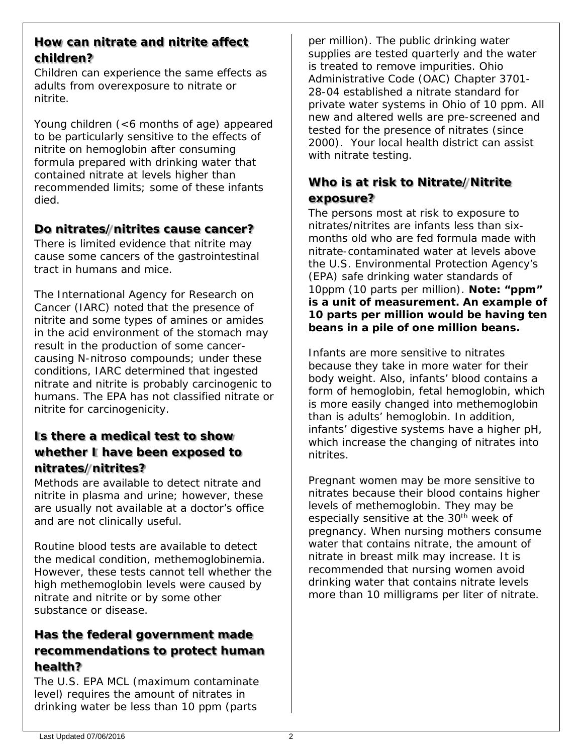#### **How can nitrate and nitrite affect children?**

Children can experience the same effects as adults from overexposure to nitrate or nitrite.

Young children (<6 months of age) appeared to be particularly sensitive to the effects of nitrite on hemoglobin after consuming formula prepared with drinking water that contained nitrate at levels higher than recommended limits; some of these infants died.

# **Do nitrates/nitrites cause cancer?**

There is limited evidence that nitrite may cause some cancers of the gastrointestinal tract in humans and mice.

The International Agency for Research on Cancer (IARC) noted that the presence of nitrite and some types of amines or amides in the acid environment of the stomach may result in the production of some cancercausing N-nitroso compounds; under these conditions, IARC determined that ingested nitrate and nitrite is probably carcinogenic to humans. The EPA has not classified nitrate or nitrite for carcinogenicity.

# **Is there a medical test to show whether I have been exposed to nitrates/nitrites?**

Methods are available to detect nitrate and nitrite in plasma and urine; however, these are usually not available at a doctor's office and are not clinically useful.

Routine blood tests are available to detect the medical condition, methemoglobinemia. However, these tests cannot tell whether the high methemoglobin levels were caused by nitrate and nitrite or by some other substance or disease.

# **Has the federal government made recommendations to protect human health?**

The U.S. EPA MCL (maximum contaminate level) requires the amount of nitrates in drinking water be less than 10 ppm (parts

per million). The public drinking water supplies are tested quarterly and the water is treated to remove impurities. Ohio Administrative Code (OAC) Chapter 3701- 28-04 established a nitrate standard for private water systems in Ohio of 10 ppm. All new and altered wells are pre-screened and tested for the presence of nitrates (since 2000). Your local health district can assist with nitrate testing.

## **Who is at risk to Nitrate/Nitrite exposure?**

The persons most at risk to exposure to nitrates/nitrites are infants less than sixmonths old who are fed formula made with nitrate-contaminated water at levels above the U.S. Environmental Protection Agency's (EPA) safe drinking water standards of 10ppm (10 parts per million). **Note: "ppm" is a unit of measurement. An example of 10 parts per million would be having ten beans in a pile of one million beans.**

Infants are more sensitive to nitrates because they take in more water for their body weight. Also, infants' blood contains a form of hemoglobin, fetal hemoglobin, which is more easily changed into methemoglobin than is adults' hemoglobin. In addition, infants' digestive systems have a higher pH, which increase the changing of nitrates into nitrites.

Pregnant women may be more sensitive to nitrates because their blood contains higher levels of methemoglobin. They may be especially sensitive at the 30<sup>th</sup> week of pregnancy. When nursing mothers consume water that contains nitrate, the amount of nitrate in breast milk may increase. It is recommended that nursing women avoid drinking water that contains nitrate levels more than 10 milligrams per liter of nitrate.